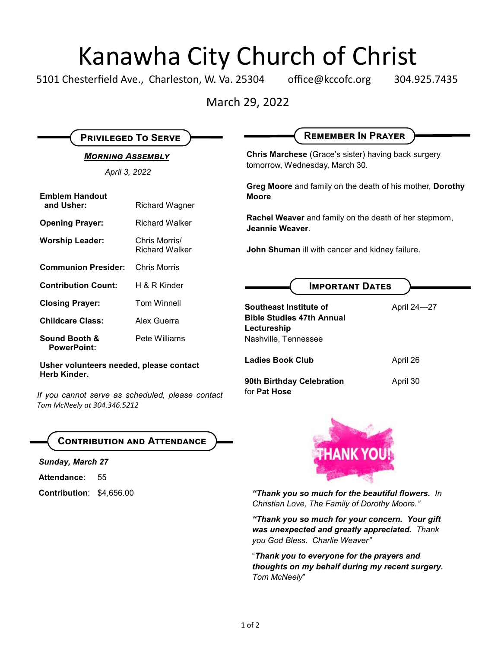## Kanawha City Church of Christ

5101 Chesterfield Ave., Charleston, W. Va. 25304 office@kccofc.org 304.925.7435

March 29, 2022

| <b>PRIVILEGED TO SERVE</b>                                                                                                                 |                                        | <b>REMEMBER IN PRAYER</b>                                                             |             |
|--------------------------------------------------------------------------------------------------------------------------------------------|----------------------------------------|---------------------------------------------------------------------------------------|-------------|
| <b>MORNING ASSEMBLY</b><br>April 3, 2022                                                                                                   |                                        | Chris Marchese (Grace's sister) having back surgery<br>tomorrow, Wednesday, March 30. |             |
| <b>Emblem Handout</b><br>and Usher:                                                                                                        | <b>Richard Wagner</b>                  | Greg Moore and family on the death of his mother, Dorothy<br><b>Moore</b>             |             |
| <b>Opening Prayer:</b>                                                                                                                     | <b>Richard Walker</b>                  | Rachel Weaver and family on the death of her stepmom,<br>Jeannie Weaver.              |             |
| <b>Worship Leader:</b>                                                                                                                     | Chris Morris/<br><b>Richard Walker</b> | John Shuman ill with cancer and kidney failure.                                       |             |
| <b>Communion Presider:</b>                                                                                                                 | <b>Chris Morris</b>                    |                                                                                       |             |
| <b>Contribution Count:</b>                                                                                                                 | H & R Kinder                           | <b>IMPORTANT DATES</b>                                                                |             |
| <b>Closing Prayer:</b>                                                                                                                     | <b>Tom Winnell</b>                     | Southeast Institute of                                                                | April 24-27 |
| <b>Childcare Class:</b>                                                                                                                    | Alex Guerra                            | <b>Bible Studies 47th Annual</b><br>Lectureship                                       |             |
| Sound Booth &<br><b>PowerPoint:</b>                                                                                                        | Pete Williams                          | Nashville, Tennessee                                                                  |             |
| Usher volunteers needed, please contact<br>Herb Kinder.<br>If you cannot serve as scheduled, please contact<br>Tom McNeely at 304.346.5212 |                                        | <b>Ladies Book Club</b>                                                               | April 26    |
|                                                                                                                                            |                                        | 90th Birthday Celebration<br>for Pat Hose                                             | April 30    |

## **Contribution and Attendance**

*Sunday, March 27*

Attendance: 55

**Contribution**: \$4,656.00



*"Thank you so much for the beautiful flowers. In Christian Love, The Family of Dorothy Moore."*

*"Thank you so much for your concern. Your gift was unexpected and greatly appreciated. Thank you God Bless. Charlie Weaver"*

"*Thank you to everyone for the prayers and thoughts on my behalf during my recent surgery. Tom McNeely*"